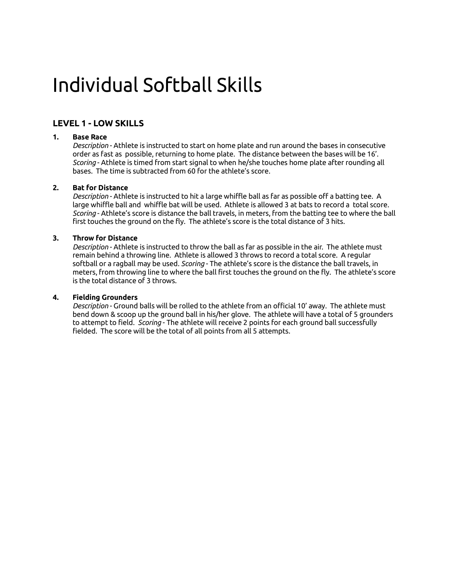# Individual Softball Skills

# **LEVEL 1 - LOW SKILLS**

## **1. Base Race**

 *Description* - Athlete is instructed to start on home plate and run around the bases in consecutive order as fast as possible, returning to home plate. The distance between the bases will be 16'. *Scoring* - Athlete is timed from start signal to when he/she touches home plate after rounding all bases. The time is subtracted from 60 for the athlete's score.

## **2. Bat for Distance**

 *Description* - Athlete is instructed to hit a large whiffle ball as far as possible off a batting tee. A large whiffle ball and whiffle bat will be used. Athlete is allowed 3 at bats to record a total score. *Scoring* - Athlete's score is distance the ball travels, in meters, from the batting tee to where the ball first touches the ground on the fly. The athlete's score is the total distance of 3 hits.

## **3. Throw for Distance**

 *Description* - Athlete is instructed to throw the ball as far as possible in the air. The athlete must remain behind a throwing line. Athlete is allowed 3 throws to record a total score. A regular softball or a ragball may be used. *Scoring* - The athlete's score is the distance the ball travels, in meters, from throwing line to where the ball first touches the ground on the fly. The athlete's score is the total distance of 3 throws.

## **4. Fielding Grounders**

 *Description* - Ground balls will be rolled to the athlete from an official 10' away. The athlete must bend down & scoop up the ground ball in his/her glove. The athlete will have a total of 5 grounders to attempt to field. *Scoring* - The athlete will receive 2 points for each ground ball successfully fielded. The score will be the total of all points from all 5 attempts.